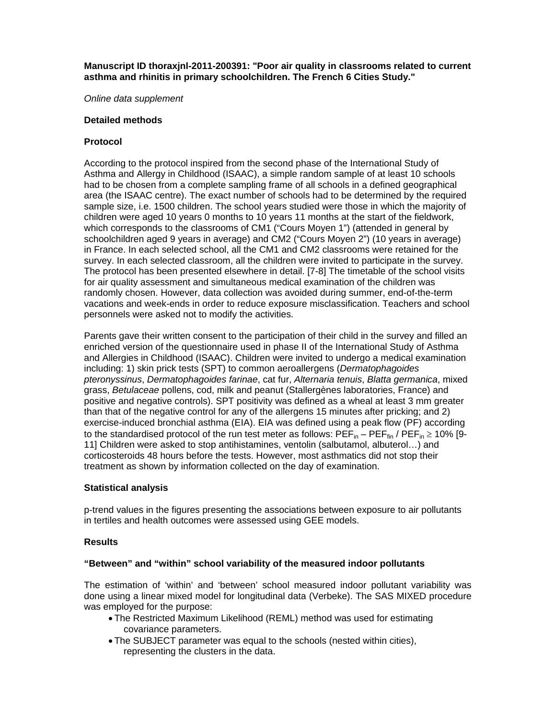# **Manuscript ID thoraxjnl-2011-200391: "Poor air quality in classrooms related to current asthma and rhinitis in primary schoolchildren. The French 6 Cities Study."**

*Online data supplement* 

## **Detailed methods**

## **Protocol**

According to the protocol inspired from the second phase of the International Study of Asthma and Allergy in Childhood (ISAAC), a simple random sample of at least 10 schools had to be chosen from a complete sampling frame of all schools in a defined geographical area (the ISAAC centre). The exact number of schools had to be determined by the required sample size, i.e. 1500 children. The school years studied were those in which the majority of children were aged 10 years 0 months to 10 years 11 months at the start of the fieldwork, which corresponds to the classrooms of CM1 ("Cours Moyen 1") (attended in general by schoolchildren aged 9 years in average) and CM2 ("Cours Moyen 2") (10 years in average) in France. In each selected school, all the CM1 and CM2 classrooms were retained for the survey. In each selected classroom, all the children were invited to participate in the survey. The protocol has been presented elsewhere in detail. [7-8] The timetable of the school visits for air quality assessment and simultaneous medical examination of the children was randomly chosen. However, data collection was avoided during summer, end-of-the-term vacations and week-ends in order to reduce exposure misclassification. Teachers and school personnels were asked not to modify the activities.

Parents gave their written consent to the participation of their child in the survey and filled an enriched version of the questionnaire used in phase II of the International Study of Asthma and Allergies in Childhood (ISAAC). Children were invited to undergo a medical examination including: 1) skin prick tests (SPT) to common aeroallergens (*Dermatophagoides pteronyssinus*, *Dermatophagoides farinae*, cat fur, *Alternaria tenuis*, *Blatta germanica*, mixed grass, *Betulaceae* pollens, cod, milk and peanut (Stallergènes laboratories, France) and positive and negative controls). SPT positivity was defined as a wheal at least 3 mm greater than that of the negative control for any of the allergens 15 minutes after pricking; and 2) exercise-induced bronchial asthma (EIA). EIA was defined using a peak flow (PF) according to the standardised protocol of the run test meter as follows:  $PEF_{in} - PEF_{fin} / PEF_{in} \ge 10\%$  [9-11] Children were asked to stop antihistamines, ventolin (salbutamol, albuterol…) and corticosteroids 48 hours before the tests. However, most asthmatics did not stop their treatment as shown by information collected on the day of examination.

#### **Statistical analysis**

p-trend values in the figures presenting the associations between exposure to air pollutants in tertiles and health outcomes were assessed using GEE models.

# **Results**

#### **"Between" and "within" school variability of the measured indoor pollutants**

The estimation of 'within' and 'between' school measured indoor pollutant variability was done using a linear mixed model for longitudinal data (Verbeke). The SAS MIXED procedure was employed for the purpose:

- The Restricted Maximum Likelihood (REML) method was used for estimating covariance parameters.
- The SUBJECT parameter was equal to the schools (nested within cities), representing the clusters in the data.